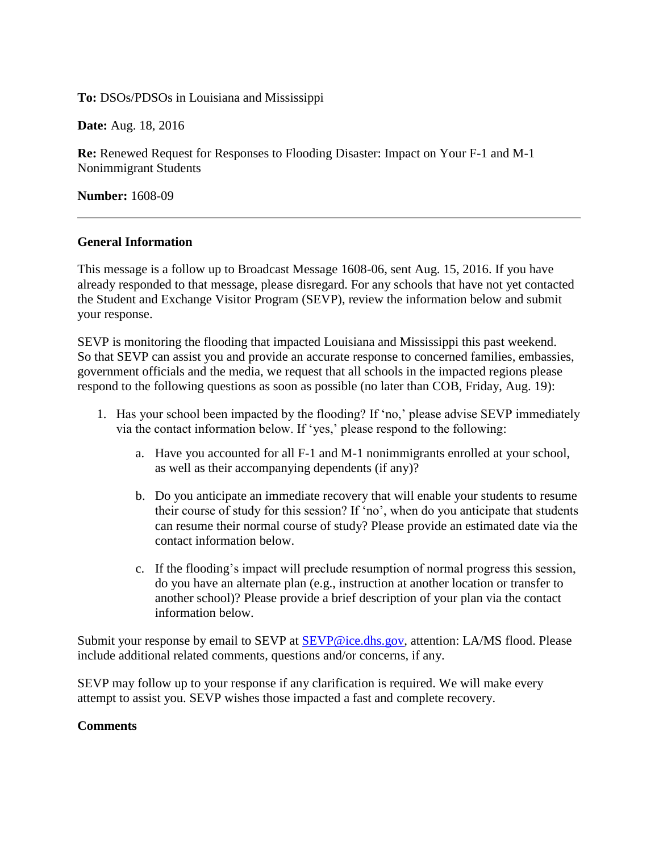## **To:** DSOs/PDSOs in Louisiana and Mississippi

**Date:** Aug. 18, 2016

**Re:** Renewed Request for Responses to Flooding Disaster: Impact on Your F-1 and M-1 Nonimmigrant Students

**Number:** 1608-09

## **General Information**

This message is a follow up to Broadcast Message 1608-06, sent Aug. 15, 2016. If you have already responded to that message, please disregard. For any schools that have not yet contacted the Student and Exchange Visitor Program (SEVP), review the information below and submit your response.

SEVP is monitoring the flooding that impacted Louisiana and Mississippi this past weekend. So that SEVP can assist you and provide an accurate response to concerned families, embassies, government officials and the media, we request that all schools in the impacted regions please respond to the following questions as soon as possible (no later than COB, Friday, Aug. 19):

- 1. Has your school been impacted by the flooding? If 'no,' please advise SEVP immediately via the contact information below. If 'yes,' please respond to the following:
	- a. Have you accounted for all F-1 and M-1 nonimmigrants enrolled at your school, as well as their accompanying dependents (if any)?
	- b. Do you anticipate an immediate recovery that will enable your students to resume their course of study for this session? If 'no', when do you anticipate that students can resume their normal course of study? Please provide an estimated date via the contact information below.
	- c. If the flooding's impact will preclude resumption of normal progress this session, do you have an alternate plan (e.g., instruction at another location or transfer to another school)? Please provide a brief description of your plan via the contact information below.

Submit your response by email to SEVP at [SEVP@ice.dhs.gov,](mailto:SEVP@ice.dhs.gov) attention: LA/MS flood. Please include additional related comments, questions and/or concerns, if any.

SEVP may follow up to your response if any clarification is required. We will make every attempt to assist you. SEVP wishes those impacted a fast and complete recovery.

## **Comments**